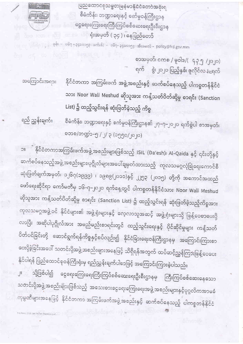ပြည်ထောင်စုသမ္မတမြန်မာနိုင်ငံတော်အစိုးရ စီမံကိန်း၊ ဘဏ္ဍာရေးနှင့် စက်မှုဝန်ကြီးဌာန ငွေရေးကြေးရေးကြီးကြပ်စစ်ဆေးရေးဦးစီးဌာန ရုံးအမှတ် ( ၃၄ ) ၊ နေပြည်တော်

RF

D-2.Peley 2020 Sat 76 Die (Santion Let)

ြောက်များ - ဖုန်း – ဝ၆၇ - ၃၄၁၀၁၅၃ ၊ ဖက်(စ်) – ဝ၆၇- ၃၄၁၀၁၅၄ ၊ အီးမေးလ် – policy@frd.gov.mm

စာအမှတ်၊ ငကစ / မူဝါဒ/( ဇှ၃၅ /၂၀၂၀) ရက် စွဲ၊ ၂၀၂၀ ပြည့်နှစ်၊ ဇူလိုင်လ ၊ ရက်

အကြောင်းအရာ။ နိုင်ငံတကာ အကြမ်းဖက် အဖွဲ့အစည်းနှင့် ဆက်စပ်နေသည့် ပါကစ္စတန်နိုင်ငံ သား Noor Wali Meshud ဆိုသူအား ကန့်သတ်ပိတ်ဆို့မှု စာရင်း (Sanction List) ၌ ထည့်သွင်းရန် ဆုံးဖြတ်ခဲ့သည့် ကိစ္စ

ရည် ညွှန်းချက်။ စီမံကိန်း၊ ဘဏ္ဍာရေးနှင့် စက်မှုဝန်ကြီးဌာန၏ ၂၇–၇–၂၀၂၀ ရက်စွဲပါ စာအမှတ်၊ စဘစ/ဘဏ္ဍာဴ–၅ /၂/ ၃ (၁၅၅၀/၂၀၂၀)

ာ။ ကို နိုင်ငံတကာအကြမ်းဖက်အဖွဲ့အစည်းများဖြစ်သည့် ISIL (Da'esh)၊ Al–Qaida နှင့် ၎င်းတို့နှင့် ဆက်ံစပ်နေသည့်အဖွဲ့အစည်းများ၊ပုဂ္ဂိုလ်များအပေါ်ချမှတ်ထားသည့် ကုလသမဂ္ဂလုံခြုံရေးကောင်စီ ဆုံးဖြတ်ချက်အမှတ်၊ ၁၂၆၇(၁၉၉၉) ၊ ၁၉၈၉(၂၀၁၁)နှင့် ၂၂၅၃ (၂၀၁၅) တို့ကို အကောင်အထည် ဖော်ရေးဆိုင်ရာ ကော်မတီမှ ၁၆–၇–၂၀၂၀ ရက်နေ့တွင် ပါကစ္စတန်နိုင်ငံသား Noor Wali Meshud ဆိုသူအား ကန့်သတ်ပိတ်ဆို့မှု စာရင်း (Sanction List) ၌ ထည့်သွင်းရန် ဆုံးဖြတ်ခဲ့သည့်ကိစ္စအား ကုလသမဂ္ဂအဖွဲ့ဝင် နိုင်ငံများ၏ အဖွဲ့ရုံးများနှင့် လေ့လာသူအဆင့် အဖွဲ့ရုံးများသို့ ဖြန့်ဝေစာပေးပို့ လာပြီး အဆိုပါပုဂ္ဂိုလ်အား အမည်မည်းစာရင်းတွင် ထည့်သွင်းရေးနှင့် ပိုင်ဆိုင်မှုများ ကန့်သတ် ပိတ်ပင်ခြင်းတို့ ဆောင်ရွက်ရန်ကိစ္စနှင့်စပ်လျဉ်း၍ နိုင်ငံခြားရေးဝန်ကြီးဌာနမှ အကြောင်းကြားစာ ပေးပို့ခဲ့ခြင်းအပေါ် သတင်းပို့အဖွဲ့ အစည်းများအနေဖြင့် သိရှိရန်အတွက် ထပ်ဆင့်ညွှန်ကြားဖြန့်ဝေပေး နိုင်ပါရန် ပြည်ထောင်စုဝန်ကြီးရုံးမှ ရည်ညွှန်းချက်ပါစာဖြင့် အကြောင်းကြားခဲ့ပါသည်။

သို့ဖြစ်ပါ၍ ငွေရေးကြေးရေးကြီးကြပ်စစ်ဆေးရေးဦးစီးဌာနမှ ကြီးကြပ်စစ်ဆေးနေသော  $\left\vert \right\vert$ သတင်းပို့အဖွဲ့ အစည်းများဖြစ်သည့် အသေးစားငွေရေးကြေးရေးအဖွဲ့ အစည်းများနှင့်ပုဂ္ဂလိကအာမခံ ကုမ္ပဏီများအနေဖြင့် နိုင်ငံတကာ အကြမ်းဖက်အဖွဲ့အစည်းနှင့် ဆက်စပ်နေသည့် ပါကစ္စတန်နိုင်ငံ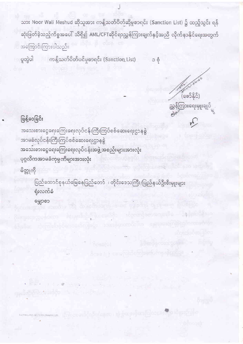သား Noor Wali Meshud ဆိုသူအား ကန့်သတ်ပိတ်ဆို့မှုစာရင်း (Sanction List) ၌ ထည့်သွင်း ရန် ဆုံးဖြတ်ခဲ့သည့်ကိစ္စအပေါ် သိရှိ၍ AML/CFTဆိုင်ရာညွှန်ကြားချက်နှင့်အညီ လိုက်နာနိုင်ရေးအတွက် အကြောင်းကြားပါသည်။

ပူတွဲပါ ကန့်သတ်ပိတ်ပင်မှုစာရင်း (Sanction List) ၁ စုံ

 $(60585)$ ညွှန်ကြားရေးမှူးချုပ်

## ဖြန့်ဝေခြင်း

အသေးစားငွေရေးကြေးရေးလုပ်ငန်းကြီးကြပ်စစ်ဆေးရေးဌာနခွဲ အာမခံလုပ်ငန်းကြီးကြပ်စစ်ဆေးရေးဌာနခွဲ အသေးစားငွေရေးကြေးရေးလုပ်ငန်းအဖွဲ့ အစည်းများအားလုံး ပုဂ္ဂလိကအာမခံကုမ္ပဏီများအားလုံး

မိတ္တုုကို

ပြည်ထောင်စုနယ်မြေနေပြည်တော် ၊ တိုင်းဒေသကြီး/ပြည်နယ်ဦးစီးမှူးများ ရုံးလက်ခံ မွှောစာ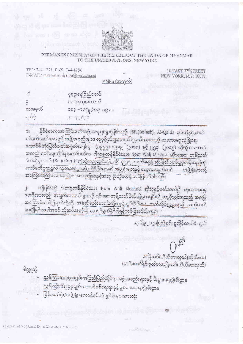

## PERMANENT MISSION OF THE REPUBLIC OF THE UNION OF MYANMAR TO THE UNITED NATIONS, NEW YORK

TEL: 744-1271, FAX: 744-1290 E-MAIL: mvanmarmission@verizon.net

10 EAST 77<sup>th</sup>STREET NEW YORK, N.Y. 10075

MMRS (အထွက်)

| သို့    | နုခဌ၊နေပြည်တော်  |
|---------|------------------|
| Q       | မေရေနယူးယောက်    |
| စာအမှတ် | 0090 50/4660-600 |
| ရက်စွဲ  | $J_{2-0-10}$ or  |

နိုင်ငံတကာအကြမ်းဖက်အဖွဲ့ အစည်းများဖြစ်သည့် ISIL(Da'esh)၊ Al-Qaida၊ ၎င်းတို့နှင့် ဆက် IIC စပ်ပတ်သက်နေသည့် အဖွဲ့အစည်းများ၊ လူပုဂ္ဂိုလ်များအပေါ်ချမှတ်ထားသည့် ကုလသမဂ္ဂလုံခြုံရေး ကောင်စီ ဆုံးဖြတ်ချက်အမှတ်၊ ၁၂၆၇ | (၁၉၉၉)၊ ၁၉၈၉ | (၂၀၁၁) နှင့် ၂၂၅၃ | (၂၀၁၅) တို့ကို အစော၁င် အထည် ဖော်ရေးဆိုင်ရာကော်မတီက ပါကစ္စတန်နိုင်ငံသား Noor Wali Meshud ဆိုသူအား ကန့်သတ် ပိတ်ဆို့မှုစာရင်း(Sanction List)သို့ထည့်သွင်းရန် ၁၆–၇–၂၀၂၀ ရက်နေ့၌ ဆုံးဖြတ်ချက်ချမှတ်ခဲ့သည်ကို ကော်မတီဥက္ကဌက ကုလသမဂ္ဂအဖွဲ့ ဝင်နိုင်ငံများ၏ အဖွဲ့ ရုံးများနှင့် လေ့လာသူအဆင့် အဖွဲ့ ရုံးများသို့ အကြောင်းကြားလာသည့်စာအား ဤစာနှင့်အတူ ပူးတွဲပေးပို့ တင်ပြအပိပါသည်။

သို့ဖြစ်ပါ၍ ပါကစ္စတန်နိုင်ငံသား Noor Wali Meshud ဆိုသူနှင့်ပတ်သက်၍ ကုလသမဂ္ဂမှ ji -<br>လေးပို့လာသည့် အချက်အလက်များနှင့် ၎င်းအားကန့်သတ်ပိတ်ဆို့မှုစာရင်းသို့ ထည့်သွင်းရသည့် အကျိုး အကြောင်းဖော်ပြချက်တို့ကို အမည်မည်းစာရင်းသို့ထည့်သွင်းနိုင်ရေး သက်ဆိုင်ရာဌာနသို့ ဆက်လက် ပေးပို့ခြင်းအပါအဝင် လိုအပ်သကဲ့သို့ ဆောင်ရွက်နိုင်ပါရန်တင်ပြအပ်ပါသည်။

ရက်စွဲ၊ ၂၀၂၀ပြည့်နှစ်၊ ရူလိုင်လ  $\downarrow$ ဉ ရက်

120

.

အမြဲတမ်းကိုယ်စားလှယ်(ကိုယ်စား) (တင်မောင်နိုင်၊ဒုတိယအမြဲတမ်းကိုယ်စားလှယ်)

**CASH WARD** 

## မိတ္တုုတို

- ညွှန်ကြားရေးမှူးချုပ်၊ အပြည်ပြည်ဆိုင်ရာအဖွဲ့ အစည်းများနှင့် စီးပွားရေးဦးစီးဌာန
- မွှာနီကြားရေးမှုုးချုပ်၊ ကောင်စစ်ရေးရာနှင့် ဥပဒေရေးရာဦးစီးဌာန
	- မြန်မာသံရုံး/အဖွဲ့ ရုံး/ကောင်စစ်ဝန်ချပ်ရုံးများအားလုံး